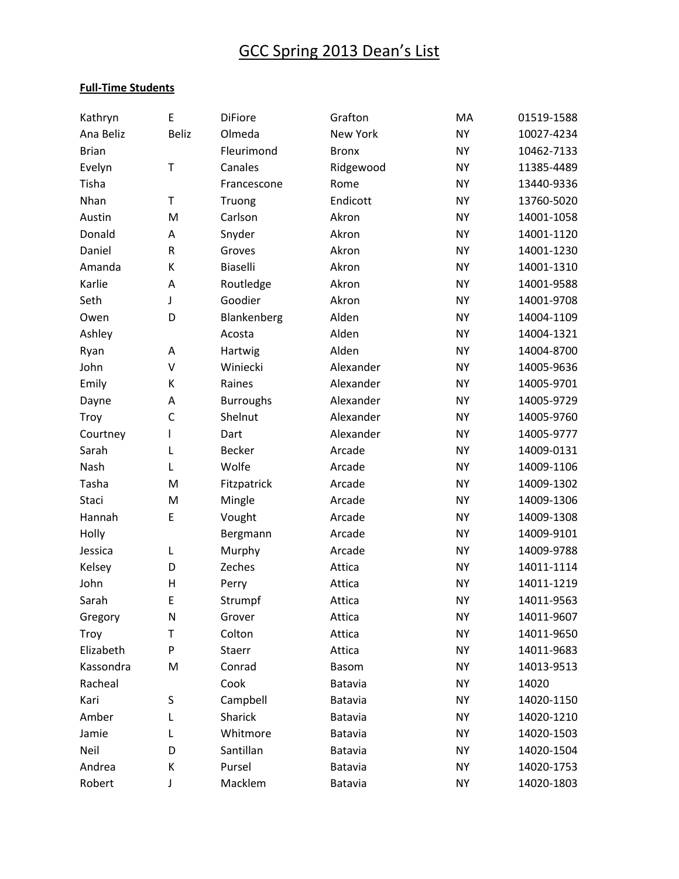#### **Full-Time Students**

| Kathryn      | E            | <b>DiFiore</b>   | Grafton        | MA        | 01519-1588 |
|--------------|--------------|------------------|----------------|-----------|------------|
| Ana Beliz    | Beliz        | Olmeda           | New York       | <b>NY</b> | 10027-4234 |
| <b>Brian</b> |              | Fleurimond       | <b>Bronx</b>   | <b>NY</b> | 10462-7133 |
| Evelyn       | T            | Canales          | Ridgewood      | <b>NY</b> | 11385-4489 |
| Tisha        |              | Francescone      | Rome           | <b>NY</b> | 13440-9336 |
| Nhan         | T            | Truong           | Endicott       | <b>NY</b> | 13760-5020 |
| Austin       | M            | Carlson          | Akron          | <b>NY</b> | 14001-1058 |
| Donald       | A            | Snyder           | Akron          | <b>NY</b> | 14001-1120 |
| Daniel       | ${\sf R}$    | Groves           | Akron          | <b>NY</b> | 14001-1230 |
| Amanda       | К            | Biaselli         | Akron          | <b>NY</b> | 14001-1310 |
| Karlie       | A            | Routledge        | Akron          | <b>NY</b> | 14001-9588 |
| Seth         | J            | Goodier          | Akron          | <b>NY</b> | 14001-9708 |
| Owen         | D            | Blankenberg      | Alden          | <b>NY</b> | 14004-1109 |
| Ashley       |              | Acosta           | Alden          | <b>NY</b> | 14004-1321 |
| Ryan         | A            | Hartwig          | Alden          | <b>NY</b> | 14004-8700 |
| John         | $\vee$       | Winiecki         | Alexander      | <b>NY</b> | 14005-9636 |
| Emily        | К            | Raines           | Alexander      | <b>NY</b> | 14005-9701 |
| Dayne        | A            | <b>Burroughs</b> | Alexander      | <b>NY</b> | 14005-9729 |
| Troy         | $\mathsf{C}$ | Shelnut          | Alexander      | <b>NY</b> | 14005-9760 |
| Courtney     | T            | Dart             | Alexander      | <b>NY</b> | 14005-9777 |
| Sarah        | L            | <b>Becker</b>    | Arcade         | <b>NY</b> | 14009-0131 |
| Nash         | L            | Wolfe            | Arcade         | <b>NY</b> | 14009-1106 |
| Tasha        | M            | Fitzpatrick      | Arcade         | <b>NY</b> | 14009-1302 |
| Staci        | M            | Mingle           | Arcade         | <b>NY</b> | 14009-1306 |
| Hannah       | E            | Vought           | Arcade         | <b>NY</b> | 14009-1308 |
| Holly        |              | Bergmann         | Arcade         | <b>NY</b> | 14009-9101 |
| Jessica      | L            | Murphy           | Arcade         | <b>NY</b> | 14009-9788 |
| Kelsey       | D            | Zeches           | Attica         | <b>NY</b> | 14011-1114 |
| John         | $\mathsf{H}$ | Perry            | Attica         | <b>NY</b> | 14011-1219 |
| Sarah        | E            | Strumpf          | Attica         | <b>NY</b> | 14011-9563 |
| Gregory      | ${\sf N}$    | Grover           | Attica         | <b>NY</b> | 14011-9607 |
| Troy         | T            | Colton           | Attica         | <b>NY</b> | 14011-9650 |
| Elizabeth    | P            | Staerr           | Attica         | <b>NY</b> | 14011-9683 |
| Kassondra    | M            | Conrad           | <b>Basom</b>   | <b>NY</b> | 14013-9513 |
| Racheal      |              | Cook             | Batavia        | <b>NY</b> | 14020      |
| Kari         | S            | Campbell         | Batavia        | <b>NY</b> | 14020-1150 |
| Amber        | L            | Sharick          | <b>Batavia</b> | <b>NY</b> | 14020-1210 |
| Jamie        | L            | Whitmore         | Batavia        | <b>NY</b> | 14020-1503 |
| Neil         | D            | Santillan        | <b>Batavia</b> | <b>NY</b> | 14020-1504 |
| Andrea       | К            | Pursel           | Batavia        | <b>NY</b> | 14020-1753 |
| Robert       | J            | Macklem          | Batavia        | <b>NY</b> | 14020-1803 |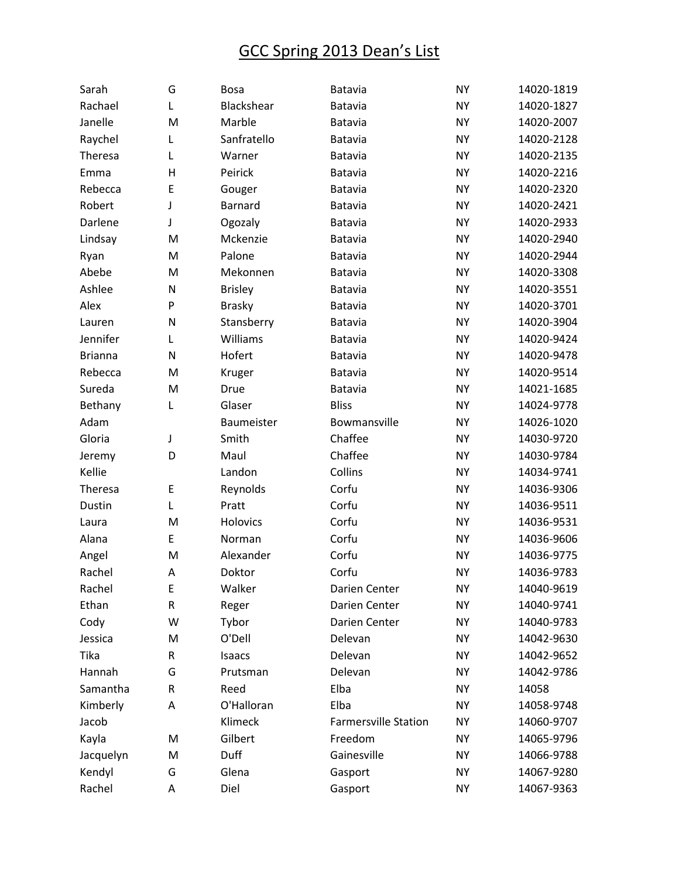| Sarah          | G | <b>Bosa</b>    | Batavia                     | <b>NY</b> | 14020-1819 |
|----------------|---|----------------|-----------------------------|-----------|------------|
| Rachael        | Г | Blackshear     | Batavia                     | <b>NY</b> | 14020-1827 |
| Janelle        | M | Marble         | Batavia                     | <b>NY</b> | 14020-2007 |
| Raychel        | L | Sanfratello    | Batavia                     | <b>NY</b> | 14020-2128 |
| Theresa        | L | Warner         | Batavia                     | <b>NY</b> | 14020-2135 |
| Emma           | Н | Peirick        | Batavia                     | <b>NY</b> | 14020-2216 |
| Rebecca        | E | Gouger         | Batavia                     | <b>NY</b> | 14020-2320 |
| Robert         | J | <b>Barnard</b> | Batavia                     | <b>NY</b> | 14020-2421 |
| Darlene        | J | Ogozaly        | Batavia                     | <b>NY</b> | 14020-2933 |
| Lindsay        | M | Mckenzie       | Batavia                     | <b>NY</b> | 14020-2940 |
| Ryan           | M | Palone         | Batavia                     | <b>NY</b> | 14020-2944 |
| Abebe          | M | Mekonnen       | Batavia                     | <b>NY</b> | 14020-3308 |
| Ashlee         | N | <b>Brisley</b> | Batavia                     | <b>NY</b> | 14020-3551 |
| Alex           | P | <b>Brasky</b>  | Batavia                     | <b>NY</b> | 14020-3701 |
| Lauren         | N | Stansberry     | Batavia                     | <b>NY</b> | 14020-3904 |
| Jennifer       | Г | Williams       | Batavia                     | <b>NY</b> | 14020-9424 |
| <b>Brianna</b> | N | Hofert         | Batavia                     | <b>NY</b> | 14020-9478 |
| Rebecca        | M | Kruger         | Batavia                     | <b>NY</b> | 14020-9514 |
| Sureda         | M | Drue           | Batavia                     | <b>NY</b> | 14021-1685 |
| Bethany        | Г | Glaser         | <b>Bliss</b>                | <b>NY</b> | 14024-9778 |
| Adam           |   | Baumeister     | Bowmansville                | <b>NY</b> | 14026-1020 |
| Gloria         | J | Smith          | Chaffee                     | <b>NY</b> | 14030-9720 |
| Jeremy         | D | Maul           | Chaffee                     | <b>NY</b> | 14030-9784 |
| Kellie         |   | Landon         | Collins                     | <b>NY</b> | 14034-9741 |
| Theresa        | E | Reynolds       | Corfu                       | <b>NY</b> | 14036-9306 |
| Dustin         | Г | Pratt          | Corfu                       | <b>NY</b> | 14036-9511 |
| Laura          | M | Holovics       | Corfu                       | <b>NY</b> | 14036-9531 |
| Alana          | E | Norman         | Corfu                       | <b>NY</b> | 14036-9606 |
| Angel          | M | Alexander      | Corfu                       | <b>NY</b> | 14036-9775 |
| Rachel         | A | Doktor         | Corfu                       | <b>NY</b> | 14036-9783 |
| Rachel         | E | Walker         | Darien Center               | <b>NY</b> | 14040-9619 |
| Ethan          | R | Reger          | Darien Center               | <b>NY</b> | 14040-9741 |
| Cody           | W | Tybor          | Darien Center               | <b>NY</b> | 14040-9783 |
| Jessica        | M | O'Dell         | Delevan                     | <b>NY</b> | 14042-9630 |
| Tika           | R | Isaacs         | Delevan                     | <b>NY</b> | 14042-9652 |
| Hannah         | G | Prutsman       | Delevan                     | <b>NY</b> | 14042-9786 |
| Samantha       | R | Reed           | Elba                        | <b>NY</b> | 14058      |
| Kimberly       | А | O'Halloran     | Elba                        | <b>NY</b> | 14058-9748 |
| Jacob          |   | Klimeck        | <b>Farmersville Station</b> | <b>NY</b> | 14060-9707 |
| Kayla          | M | Gilbert        | Freedom                     | <b>NY</b> | 14065-9796 |
| Jacquelyn      | M | Duff           | Gainesville                 | <b>NY</b> | 14066-9788 |
| Kendyl         | G | Glena          | Gasport                     | <b>NY</b> | 14067-9280 |
| Rachel         | А | Diel           | Gasport                     | <b>NY</b> | 14067-9363 |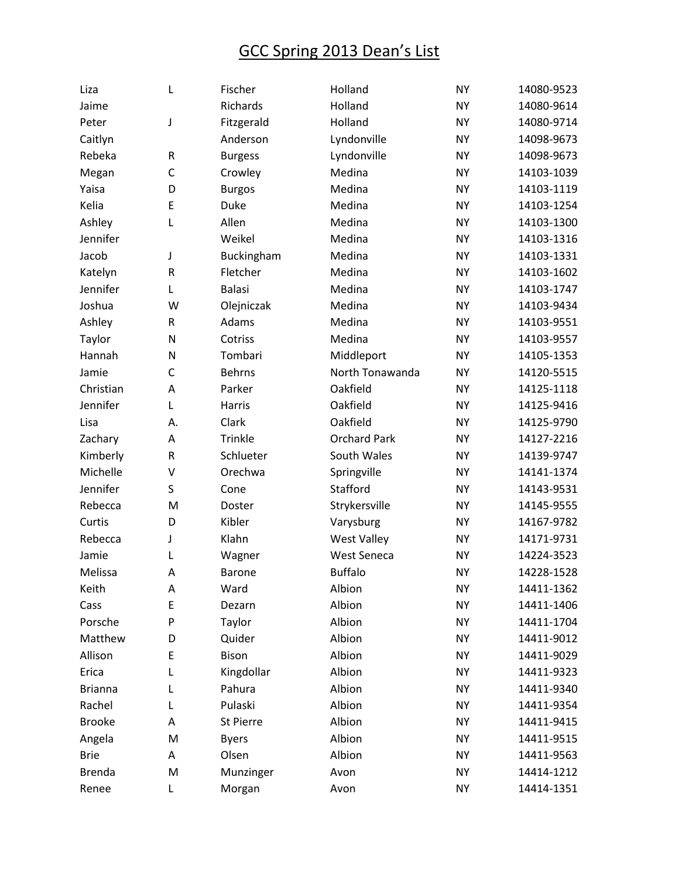| Liza           | L            | Fischer        | Holland             | <b>NY</b> | 14080-9523 |
|----------------|--------------|----------------|---------------------|-----------|------------|
| Jaime          |              | Richards       | Holland             | <b>NY</b> | 14080-9614 |
| Peter          | J            | Fitzgerald     | Holland             | <b>NY</b> | 14080-9714 |
| Caitlyn        |              | Anderson       | Lyndonville         | <b>NY</b> | 14098-9673 |
| Rebeka         | ${\sf R}$    | <b>Burgess</b> | Lyndonville         | <b>NY</b> | 14098-9673 |
| Megan          | $\mathsf C$  | Crowley        | Medina              | <b>NY</b> | 14103-1039 |
| Yaisa          | D            | <b>Burgos</b>  | Medina              | <b>NY</b> | 14103-1119 |
| Kelia          | E            | Duke           | Medina              | <b>NY</b> | 14103-1254 |
| Ashley         | Г            | Allen          | Medina              | <b>NY</b> | 14103-1300 |
| Jennifer       |              | Weikel         | Medina              | <b>NY</b> | 14103-1316 |
| Jacob          | J            | Buckingham     | Medina              | <b>NY</b> | 14103-1331 |
| Katelyn        | ${\sf R}$    | Fletcher       | Medina              | <b>NY</b> | 14103-1602 |
| Jennifer       | L            | <b>Balasi</b>  | Medina              | <b>NY</b> | 14103-1747 |
| Joshua         | W            | Olejniczak     | Medina              | <b>NY</b> | 14103-9434 |
| Ashley         | ${\sf R}$    | Adams          | Medina              | <b>NY</b> | 14103-9551 |
| Taylor         | N            | Cotriss        | Medina              | <b>NY</b> | 14103-9557 |
| Hannah         | N            | Tombari        | Middleport          | <b>NY</b> | 14105-1353 |
| Jamie          | $\mathsf{C}$ | <b>Behrns</b>  | North Tonawanda     | <b>NY</b> | 14120-5515 |
| Christian      | A            | Parker         | Oakfield            | <b>NY</b> | 14125-1118 |
| Jennifer       | L            | <b>Harris</b>  | Oakfield            | <b>NY</b> | 14125-9416 |
| Lisa           | А.           | Clark          | Oakfield            | <b>NY</b> | 14125-9790 |
| Zachary        | A            | Trinkle        | <b>Orchard Park</b> | <b>NY</b> | 14127-2216 |
| Kimberly       | ${\sf R}$    | Schlueter      | South Wales         | <b>NY</b> | 14139-9747 |
| Michelle       | V            | Orechwa        | Springville         | <b>NY</b> | 14141-1374 |
| Jennifer       | S            | Cone           | Stafford            | <b>NY</b> | 14143-9531 |
| Rebecca        | M            | Doster         | Strykersville       | <b>NY</b> | 14145-9555 |
| Curtis         | D            | Kibler         | Varysburg           | <b>NY</b> | 14167-9782 |
| Rebecca        | J            | Klahn          | <b>West Valley</b>  | <b>NY</b> | 14171-9731 |
| Jamie          | L            | Wagner         | <b>West Seneca</b>  | <b>NY</b> | 14224-3523 |
| Melissa        | A            | <b>Barone</b>  | <b>Buffalo</b>      | <b>NY</b> | 14228-1528 |
| Keith          | А            | Ward           | Albion              | <b>NY</b> | 14411-1362 |
| Cass           | E            | Dezarn         | Albion              | <b>NY</b> | 14411-1406 |
| Porsche        | P            | Taylor         | Albion              | <b>NY</b> | 14411-1704 |
| Matthew        | D            | Quider         | Albion              | <b>NY</b> | 14411-9012 |
| Allison        | E            | <b>Bison</b>   | Albion              | <b>NY</b> | 14411-9029 |
| Erica          | L            | Kingdollar     | Albion              | <b>NY</b> | 14411-9323 |
| <b>Brianna</b> | Г            | Pahura         | Albion              | <b>NY</b> | 14411-9340 |
| Rachel         | L            | Pulaski        | Albion              | <b>NY</b> | 14411-9354 |
| <b>Brooke</b>  | Α            | St Pierre      | Albion              | <b>NY</b> | 14411-9415 |
| Angela         | M            | <b>Byers</b>   | Albion              | <b>NY</b> | 14411-9515 |
| <b>Brie</b>    | Α            | Olsen          | Albion              | <b>NY</b> | 14411-9563 |
| <b>Brenda</b>  | M            | Munzinger      | Avon                | <b>NY</b> | 14414-1212 |
| Renee          | L            | Morgan         | Avon                | <b>NY</b> | 14414-1351 |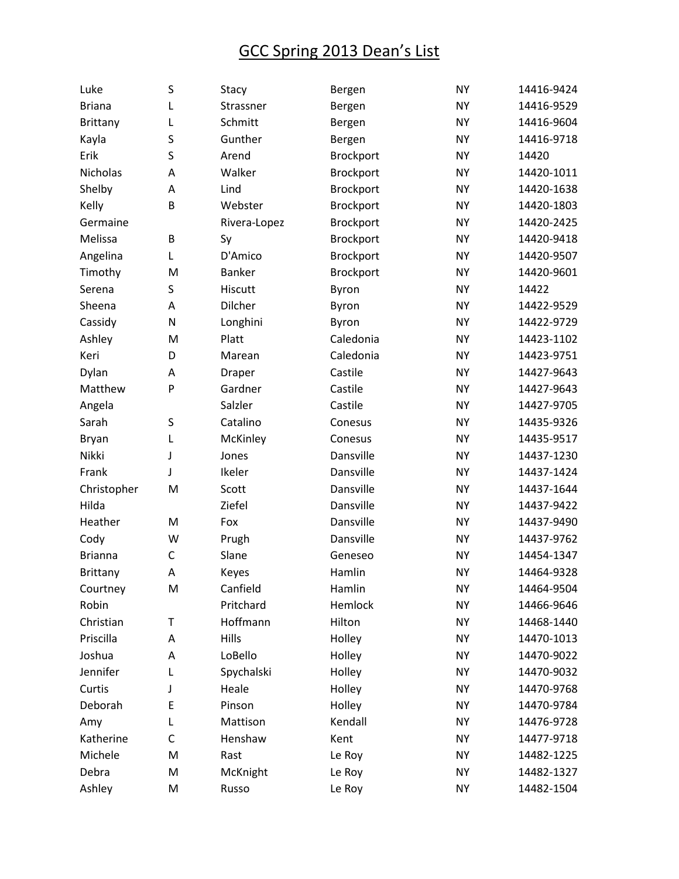| Luke            | S           | Stacy        | Bergen    | <b>NY</b> | 14416-9424 |
|-----------------|-------------|--------------|-----------|-----------|------------|
| <b>Briana</b>   | L           | Strassner    | Bergen    | <b>NY</b> | 14416-9529 |
| <b>Brittany</b> | L           | Schmitt      | Bergen    | <b>NY</b> | 14416-9604 |
| Kayla           | S           | Gunther      | Bergen    | <b>NY</b> | 14416-9718 |
| Erik            | S           | Arend        | Brockport | <b>NY</b> | 14420      |
| Nicholas        | A           | Walker       | Brockport | <b>NY</b> | 14420-1011 |
| Shelby          | Α           | Lind         | Brockport | <b>NY</b> | 14420-1638 |
| Kelly           | B           | Webster      | Brockport | <b>NY</b> | 14420-1803 |
| Germaine        |             | Rivera-Lopez | Brockport | <b>NY</b> | 14420-2425 |
| Melissa         | B           | Sy           | Brockport | <b>NY</b> | 14420-9418 |
| Angelina        | Г           | D'Amico      | Brockport | <b>NY</b> | 14420-9507 |
| Timothy         | M           | Banker       | Brockport | <b>NY</b> | 14420-9601 |
| Serena          | S           | Hiscutt      | Byron     | <b>NY</b> | 14422      |
| Sheena          | А           | Dilcher      | Byron     | <b>NY</b> | 14422-9529 |
| Cassidy         | N           | Longhini     | Byron     | <b>NY</b> | 14422-9729 |
| Ashley          | M           | Platt        | Caledonia | <b>NY</b> | 14423-1102 |
| Keri            | D           | Marean       | Caledonia | <b>NY</b> | 14423-9751 |
| Dylan           | Α           | Draper       | Castile   | <b>NY</b> | 14427-9643 |
| Matthew         | P           | Gardner      | Castile   | <b>NY</b> | 14427-9643 |
| Angela          |             | Salzler      | Castile   | <b>NY</b> | 14427-9705 |
| Sarah           | S           | Catalino     | Conesus   | <b>NY</b> | 14435-9326 |
| Bryan           | L           | McKinley     | Conesus   | <b>NY</b> | 14435-9517 |
| Nikki           | J           | Jones        | Dansville | <b>NY</b> | 14437-1230 |
| Frank           | J           | Ikeler       | Dansville | <b>NY</b> | 14437-1424 |
| Christopher     | M           | Scott        | Dansville | <b>NY</b> | 14437-1644 |
| Hilda           |             | Ziefel       | Dansville | <b>NY</b> | 14437-9422 |
| Heather         | M           | Fox          | Dansville | <b>NY</b> | 14437-9490 |
| Cody            | W           | Prugh        | Dansville | <b>NY</b> | 14437-9762 |
| <b>Brianna</b>  | C           | Slane        | Geneseo   | <b>NY</b> | 14454-1347 |
| <b>Brittany</b> | A           | Keyes        | Hamlin    | <b>NY</b> | 14464-9328 |
| Courtney        | M           | Canfield     | Hamlin    | <b>NY</b> | 14464-9504 |
| Robin           |             | Pritchard    | Hemlock   | <b>NY</b> | 14466-9646 |
| Christian       | Т           | Hoffmann     | Hilton    | <b>NY</b> | 14468-1440 |
| Priscilla       | Α           | Hills        | Holley    | <b>NY</b> | 14470-1013 |
| Joshua          | А           | LoBello      | Holley    | <b>NY</b> | 14470-9022 |
| Jennifer        | L           | Spychalski   | Holley    | <b>NY</b> | 14470-9032 |
| Curtis          | J           | Heale        | Holley    | <b>NY</b> | 14470-9768 |
| Deborah         | E           | Pinson       | Holley    | <b>NY</b> | 14470-9784 |
| Amy             | L           | Mattison     | Kendall   | <b>NY</b> | 14476-9728 |
| Katherine       | $\mathsf C$ | Henshaw      | Kent      | <b>NY</b> | 14477-9718 |
| Michele         | M           | Rast         | Le Roy    | <b>NY</b> | 14482-1225 |
| Debra           | M           | McKnight     | Le Roy    | <b>NY</b> | 14482-1327 |
| Ashley          | M           | Russo        | Le Roy    | <b>NY</b> | 14482-1504 |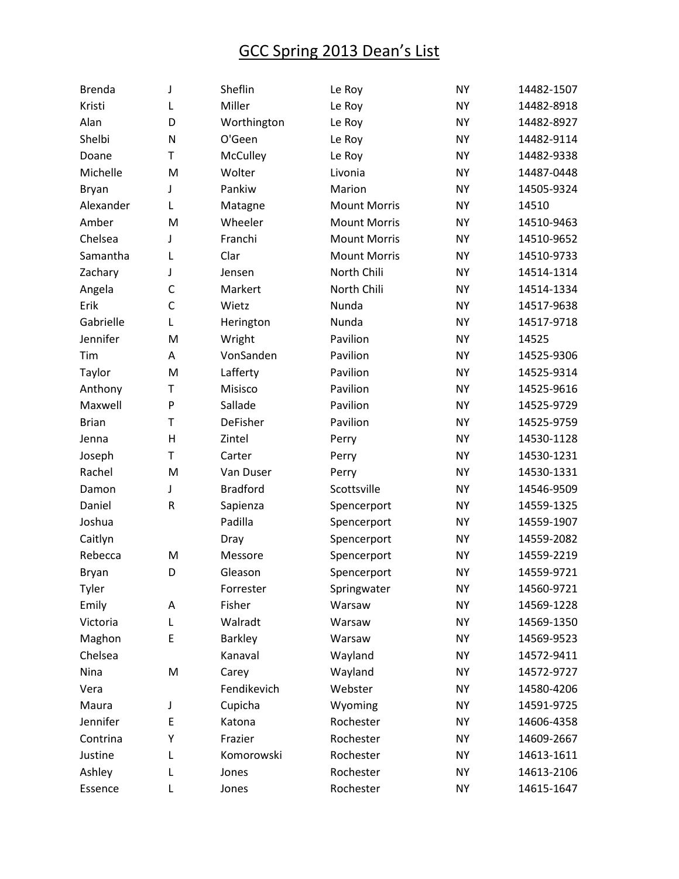| <b>Brenda</b> | J            | Sheflin         | Le Roy              | <b>NY</b> | 14482-1507 |
|---------------|--------------|-----------------|---------------------|-----------|------------|
| Kristi        | L            | Miller          | Le Roy              | <b>NY</b> | 14482-8918 |
| Alan          | D            | Worthington     | Le Roy              | <b>NY</b> | 14482-8927 |
| Shelbi        | N            | O'Geen          | Le Roy              | <b>NY</b> | 14482-9114 |
| Doane         | T            | <b>McCulley</b> | Le Roy              | <b>NY</b> | 14482-9338 |
| Michelle      | M            | Wolter          | Livonia             | <b>NY</b> | 14487-0448 |
| Bryan         | J            | Pankiw          | Marion              | <b>NY</b> | 14505-9324 |
| Alexander     | L            | Matagne         | <b>Mount Morris</b> | <b>NY</b> | 14510      |
| Amber         | M            | Wheeler         | <b>Mount Morris</b> | <b>NY</b> | 14510-9463 |
| Chelsea       | J            | Franchi         | <b>Mount Morris</b> | <b>NY</b> | 14510-9652 |
| Samantha      | L            | Clar            | <b>Mount Morris</b> | <b>NY</b> | 14510-9733 |
| Zachary       | J            | Jensen          | North Chili         | <b>NY</b> | 14514-1314 |
| Angela        | $\mathsf{C}$ | Markert         | North Chili         | <b>NY</b> | 14514-1334 |
| Erik          | $\mathsf{C}$ | Wietz           | Nunda               | <b>NY</b> | 14517-9638 |
| Gabrielle     | Г            | Herington       | Nunda               | <b>NY</b> | 14517-9718 |
| Jennifer      | M            | Wright          | Pavilion            | <b>NY</b> | 14525      |
| Tim           | А            | VonSanden       | Pavilion            | <b>NY</b> | 14525-9306 |
| Taylor        | M            | Lafferty        | Pavilion            | <b>NY</b> | 14525-9314 |
| Anthony       | T            | Misisco         | Pavilion            | <b>NY</b> | 14525-9616 |
| Maxwell       | P            | Sallade         | Pavilion            | <b>NY</b> | 14525-9729 |
| <b>Brian</b>  | T            | <b>DeFisher</b> | Pavilion            | <b>NY</b> | 14525-9759 |
| Jenna         | Н            | Zintel          | Perry               | <b>NY</b> | 14530-1128 |
| Joseph        | T            | Carter          | Perry               | <b>NY</b> | 14530-1231 |
| Rachel        | M            | Van Duser       | Perry               | <b>NY</b> | 14530-1331 |
| Damon         | J            | <b>Bradford</b> | Scottsville         | <b>NY</b> | 14546-9509 |
| Daniel        | R            | Sapienza        | Spencerport         | <b>NY</b> | 14559-1325 |
| Joshua        |              | Padilla         | Spencerport         | <b>NY</b> | 14559-1907 |
| Caitlyn       |              | Dray            | Spencerport         | <b>NY</b> | 14559-2082 |
| Rebecca       | M            | Messore         | Spencerport         | <b>NY</b> | 14559-2219 |
| <b>Bryan</b>  | D            | Gleason         | Spencerport         | <b>NY</b> | 14559-9721 |
| Tyler         |              | Forrester       | Springwater         | <b>NY</b> | 14560-9721 |
| Emily         | Α            | Fisher          | Warsaw              | <b>NY</b> | 14569-1228 |
| Victoria      | L            | Walradt         | Warsaw              | <b>NY</b> | 14569-1350 |
| Maghon        | E            | <b>Barkley</b>  | Warsaw              | <b>NY</b> | 14569-9523 |
| Chelsea       |              | Kanaval         | Wayland             | <b>NY</b> | 14572-9411 |
| Nina          | M            | Carey           | Wayland             | <b>NY</b> | 14572-9727 |
| Vera          |              | Fendikevich     | Webster             | <b>NY</b> | 14580-4206 |
| Maura         | J            | Cupicha         | Wyoming             | <b>NY</b> | 14591-9725 |
| Jennifer      | E            | Katona          | Rochester           | <b>NY</b> | 14606-4358 |
| Contrina      | Υ            | Frazier         | Rochester           | <b>NY</b> | 14609-2667 |
| Justine       | L            | Komorowski      | Rochester           | <b>NY</b> | 14613-1611 |
| Ashley        | L            | Jones           | Rochester           | <b>NY</b> | 14613-2106 |
| Essence       | L            | Jones           | Rochester           | <b>NY</b> | 14615-1647 |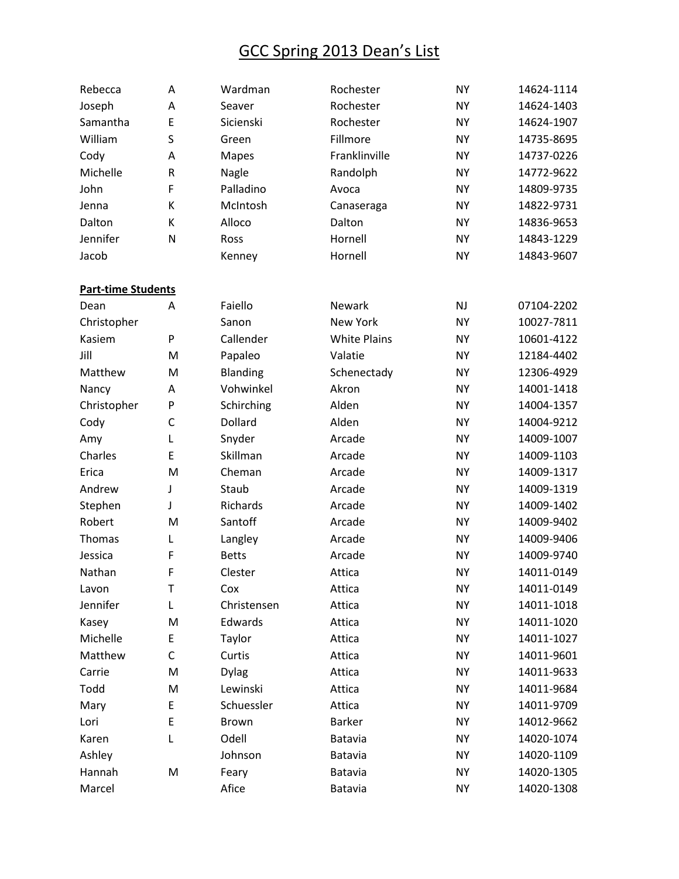| Rebecca                   | Α           | Wardman      | Rochester           | <b>NY</b> | 14624-1114 |
|---------------------------|-------------|--------------|---------------------|-----------|------------|
| Joseph                    | A           | Seaver       | Rochester           | <b>NY</b> | 14624-1403 |
| Samantha                  | E           | Sicienski    | Rochester           | <b>NY</b> | 14624-1907 |
| William                   | S           | Green        | Fillmore            | <b>NY</b> | 14735-8695 |
| Cody                      | A           | <b>Mapes</b> | Franklinville       | <b>NY</b> | 14737-0226 |
| Michelle                  | ${\sf R}$   | Nagle        | Randolph            | <b>NY</b> | 14772-9622 |
| John                      | F           | Palladino    | Avoca               | <b>NY</b> | 14809-9735 |
| Jenna                     | К           | McIntosh     | Canaseraga          | <b>NY</b> | 14822-9731 |
| Dalton                    | К           | Alloco       | Dalton              | <b>NY</b> | 14836-9653 |
| Jennifer                  | N           | Ross         | Hornell             | <b>NY</b> | 14843-1229 |
| Jacob                     |             | Kenney       | Hornell             | <b>NY</b> | 14843-9607 |
| <b>Part-time Students</b> |             |              |                     |           |            |
| Dean                      | A           | Faiello      | Newark              | <b>NJ</b> | 07104-2202 |
| Christopher               |             | Sanon        | New York            | <b>NY</b> | 10027-7811 |
| Kasiem                    | P           | Callender    | <b>White Plains</b> | <b>NY</b> | 10601-4122 |
| Jill                      | M           | Papaleo      | Valatie             | <b>NY</b> | 12184-4402 |
| Matthew                   | M           | Blanding     | Schenectady         | <b>NY</b> | 12306-4929 |
| Nancy                     | A           | Vohwinkel    | Akron               | <b>NY</b> | 14001-1418 |
| Christopher               | P           | Schirching   | Alden               | <b>NY</b> | 14004-1357 |
| Cody                      | $\mathsf C$ | Dollard      | Alden               | <b>NY</b> | 14004-9212 |
| Amy                       | L           | Snyder       | Arcade              | <b>NY</b> | 14009-1007 |
| Charles                   | E           | Skillman     | Arcade              | <b>NY</b> | 14009-1103 |
| Erica                     | M           | Cheman       | Arcade              | <b>NY</b> | 14009-1317 |
| Andrew                    | J           | Staub        | Arcade              | <b>NY</b> | 14009-1319 |
| Stephen                   | J           | Richards     | Arcade              | <b>NY</b> | 14009-1402 |
| Robert                    | M           | Santoff      | Arcade              | <b>NY</b> | 14009-9402 |
| Thomas                    | L           | Langley      | Arcade              | <b>NY</b> | 14009-9406 |
| Jessica                   | F           | <b>Betts</b> | Arcade              | <b>NY</b> | 14009-9740 |
| Nathan                    | F           | Clester      | Attica              | <b>NY</b> | 14011-0149 |
| Lavon                     | T           | Cox          | Attica              | <b>NY</b> | 14011-0149 |
| Jennifer                  | L           | Christensen  | Attica              | <b>NY</b> | 14011-1018 |
| Kasey                     | M           | Edwards      | Attica              | <b>NY</b> | 14011-1020 |
| Michelle                  | E           | Taylor       | Attica              | <b>NY</b> | 14011-1027 |
| Matthew                   | $\mathsf C$ | Curtis       | Attica              | <b>NY</b> | 14011-9601 |
| Carrie                    | M           | <b>Dylag</b> | Attica              | <b>NY</b> | 14011-9633 |
| Todd                      | M           | Lewinski     | Attica              | <b>NY</b> | 14011-9684 |
| Mary                      | E           | Schuessler   | Attica              | <b>NY</b> | 14011-9709 |
| Lori                      | E           | <b>Brown</b> | <b>Barker</b>       | <b>NY</b> | 14012-9662 |
| Karen                     | L           | Odell        | Batavia             | <b>NY</b> | 14020-1074 |
| Ashley                    |             | Johnson      | Batavia             | <b>NY</b> | 14020-1109 |
| Hannah                    | M           | Feary        | Batavia             | <b>NY</b> | 14020-1305 |
| Marcel                    |             | Afice        | Batavia             | <b>NY</b> | 14020-1308 |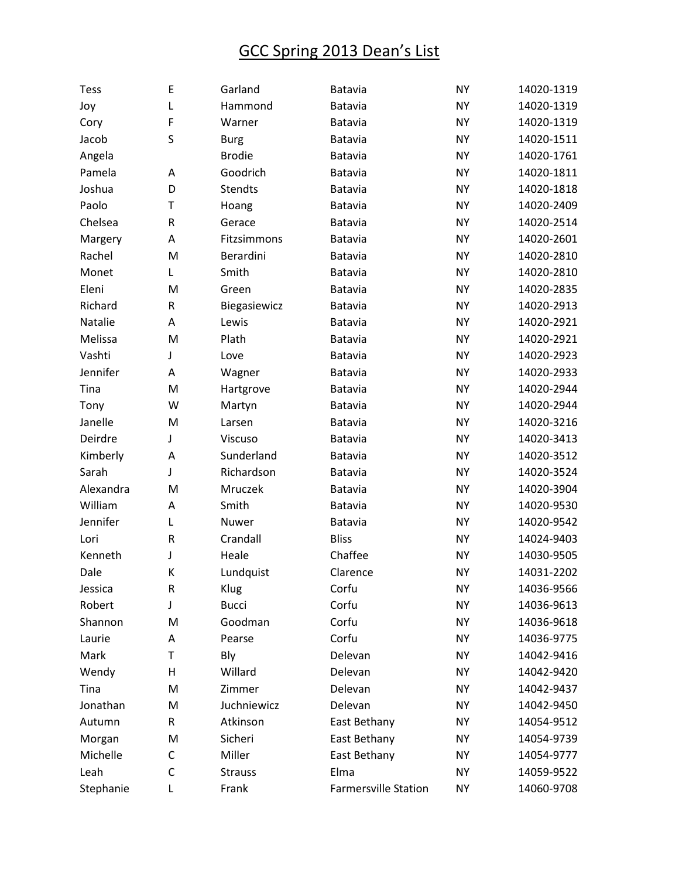| Tess      | E         | Garland        | Batavia                     | <b>NY</b> | 14020-1319 |
|-----------|-----------|----------------|-----------------------------|-----------|------------|
| Joy       | L         | Hammond        | Batavia                     | <b>NY</b> | 14020-1319 |
| Cory      | F         | Warner         | Batavia                     | <b>NY</b> | 14020-1319 |
| Jacob     | S         | <b>Burg</b>    | Batavia                     | <b>NY</b> | 14020-1511 |
| Angela    |           | <b>Brodie</b>  | Batavia                     | <b>NY</b> | 14020-1761 |
| Pamela    | Α         | Goodrich       | Batavia                     | <b>NY</b> | 14020-1811 |
| Joshua    | D         | Stendts        | Batavia                     | <b>NY</b> | 14020-1818 |
| Paolo     | T         | Hoang          | Batavia                     | <b>NY</b> | 14020-2409 |
| Chelsea   | ${\sf R}$ | Gerace         | Batavia                     | <b>NY</b> | 14020-2514 |
| Margery   | A         | Fitzsimmons    | Batavia                     | <b>NY</b> | 14020-2601 |
| Rachel    | M         | Berardini      | Batavia                     | <b>NY</b> | 14020-2810 |
| Monet     | L         | Smith          | Batavia                     | <b>NY</b> | 14020-2810 |
| Eleni     | M         | Green          | Batavia                     | <b>NY</b> | 14020-2835 |
| Richard   | ${\sf R}$ | Biegasiewicz   | Batavia                     | <b>NY</b> | 14020-2913 |
| Natalie   | А         | Lewis          | Batavia                     | <b>NY</b> | 14020-2921 |
| Melissa   | M         | Plath          | Batavia                     | <b>NY</b> | 14020-2921 |
| Vashti    | J         | Love           | Batavia                     | <b>NY</b> | 14020-2923 |
| Jennifer  | A         | Wagner         | Batavia                     | <b>NY</b> | 14020-2933 |
| Tina      | M         | Hartgrove      | Batavia                     | <b>NY</b> | 14020-2944 |
| Tony      | W         | Martyn         | Batavia                     | <b>NY</b> | 14020-2944 |
| Janelle   | M         | Larsen         | Batavia                     | <b>NY</b> | 14020-3216 |
| Deirdre   | J         | Viscuso        | Batavia                     | <b>NY</b> | 14020-3413 |
| Kimberly  | A         | Sunderland     | Batavia                     | <b>NY</b> | 14020-3512 |
| Sarah     | J         | Richardson     | Batavia                     | <b>NY</b> | 14020-3524 |
| Alexandra | M         | Mruczek        | Batavia                     | <b>NY</b> | 14020-3904 |
| William   | A         | Smith          | Batavia                     | <b>NY</b> | 14020-9530 |
| Jennifer  | L         | Nuwer          | Batavia                     | <b>NY</b> | 14020-9542 |
| Lori      | ${\sf R}$ | Crandall       | <b>Bliss</b>                | <b>NY</b> | 14024-9403 |
| Kenneth   | J         | Heale          | Chaffee                     | <b>NY</b> | 14030-9505 |
| Dale      | К         | Lundquist      | Clarence                    | <b>NY</b> | 14031-2202 |
| Jessica   | ${\sf R}$ | Klug           | Corfu                       | <b>NY</b> | 14036-9566 |
| Robert    | J         | <b>Bucci</b>   | Corfu                       | <b>NY</b> | 14036-9613 |
| Shannon   | M         | Goodman        | Corfu                       | <b>NY</b> | 14036-9618 |
| Laurie    | Α         | Pearse         | Corfu                       | <b>NY</b> | 14036-9775 |
| Mark      | Т         | Bly            | Delevan                     | <b>NY</b> | 14042-9416 |
| Wendy     | Н         | Willard        | Delevan                     | <b>NY</b> | 14042-9420 |
| Tina      | M         | Zimmer         | Delevan                     | <b>NY</b> | 14042-9437 |
| Jonathan  | M         | Juchniewicz    | Delevan                     | <b>NY</b> | 14042-9450 |
| Autumn    | R         | Atkinson       | East Bethany                | <b>NY</b> | 14054-9512 |
| Morgan    | M         | Sicheri        | East Bethany                | <b>NY</b> | 14054-9739 |
| Michelle  | C         | Miller         | East Bethany                | <b>NY</b> | 14054-9777 |
| Leah      | C         | <b>Strauss</b> | Elma                        | <b>NY</b> | 14059-9522 |
| Stephanie | Г         | Frank          | <b>Farmersville Station</b> | <b>NY</b> | 14060-9708 |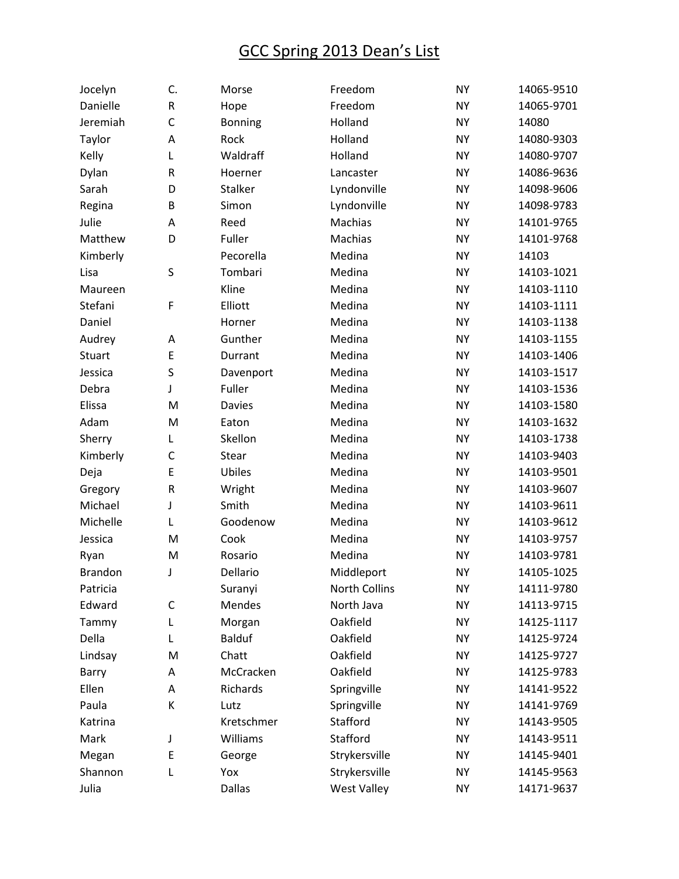| Jocelyn        | C.           | Morse          | Freedom            | <b>NY</b> | 14065-9510 |
|----------------|--------------|----------------|--------------------|-----------|------------|
| Danielle       | ${\sf R}$    | Hope           | Freedom            | <b>NY</b> | 14065-9701 |
| Jeremiah       | $\mathsf{C}$ | <b>Bonning</b> | Holland            | <b>NY</b> | 14080      |
| Taylor         | Α            | Rock           | Holland            | <b>NY</b> | 14080-9303 |
| Kelly          | Г            | Waldraff       | Holland            | <b>NY</b> | 14080-9707 |
| Dylan          | ${\sf R}$    | Hoerner        | Lancaster          | <b>NY</b> | 14086-9636 |
| Sarah          | D            | <b>Stalker</b> | Lyndonville        | <b>NY</b> | 14098-9606 |
| Regina         | B            | Simon          | Lyndonville        | <b>NY</b> | 14098-9783 |
| Julie          | А            | Reed           | Machias            | <b>NY</b> | 14101-9765 |
| Matthew        | D            | Fuller         | Machias            | <b>NY</b> | 14101-9768 |
| Kimberly       |              | Pecorella      | Medina             | <b>NY</b> | 14103      |
| Lisa           | S            | Tombari        | Medina             | <b>NY</b> | 14103-1021 |
| Maureen        |              | Kline          | Medina             | <b>NY</b> | 14103-1110 |
| Stefani        | F            | Elliott        | Medina             | <b>NY</b> | 14103-1111 |
| Daniel         |              | Horner         | Medina             | <b>NY</b> | 14103-1138 |
| Audrey         | А            | Gunther        | Medina             | <b>NY</b> | 14103-1155 |
| Stuart         | E            | Durrant        | Medina             | <b>NY</b> | 14103-1406 |
| Jessica        | S            | Davenport      | Medina             | <b>NY</b> | 14103-1517 |
| Debra          | J            | Fuller         | Medina             | <b>NY</b> | 14103-1536 |
| Elissa         | M            | <b>Davies</b>  | Medina             | <b>NY</b> | 14103-1580 |
| Adam           | M            | Eaton          | Medina             | <b>NY</b> | 14103-1632 |
| Sherry         | L            | Skellon        | Medina             | <b>NY</b> | 14103-1738 |
| Kimberly       | $\mathsf{C}$ | Stear          | Medina             | <b>NY</b> | 14103-9403 |
| Deja           | E            | Ubiles         | Medina             | <b>NY</b> | 14103-9501 |
| Gregory        | $\mathsf R$  | Wright         | Medina             | <b>NY</b> | 14103-9607 |
| Michael        | J            | Smith          | Medina             | <b>NY</b> | 14103-9611 |
| Michelle       | L            | Goodenow       | Medina             | <b>NY</b> | 14103-9612 |
| Jessica        | M            | Cook           | Medina             | <b>NY</b> | 14103-9757 |
| Ryan           | M            | Rosario        | Medina             | <b>NY</b> | 14103-9781 |
| <b>Brandon</b> | J            | Dellario       | Middleport         | <b>NY</b> | 14105-1025 |
| Patricia       |              | Suranyi        | North Collins      | <b>NY</b> | 14111-9780 |
| Edward         | C            | Mendes         | North Java         | <b>NY</b> | 14113-9715 |
| Tammy          | L            | Morgan         | Oakfield           | <b>NY</b> | 14125-1117 |
| Della          | L            | <b>Balduf</b>  | Oakfield           | <b>NY</b> | 14125-9724 |
| Lindsay        | M            | Chatt          | Oakfield           | <b>NY</b> | 14125-9727 |
| Barry          | А            | McCracken      | Oakfield           | <b>NY</b> | 14125-9783 |
| Ellen          | А            | Richards       | Springville        | <b>NY</b> | 14141-9522 |
| Paula          | К            | Lutz           | Springville        | <b>NY</b> | 14141-9769 |
| Katrina        |              | Kretschmer     | Stafford           | <b>NY</b> | 14143-9505 |
| Mark           | J            | Williams       | Stafford           | <b>NY</b> | 14143-9511 |
| Megan          | E            | George         | Strykersville      | <b>NY</b> | 14145-9401 |
| Shannon        | L            | Yox            | Strykersville      | <b>NY</b> | 14145-9563 |
| Julia          |              | <b>Dallas</b>  | <b>West Valley</b> | <b>NY</b> | 14171-9637 |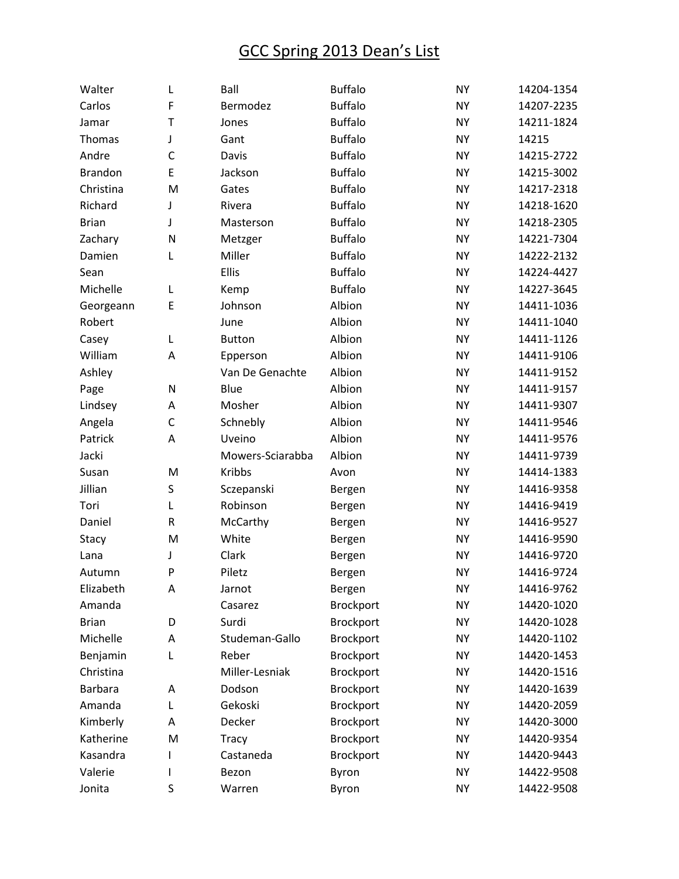| Walter         | L            | Ball             | <b>Buffalo</b> | <b>NY</b> | 14204-1354 |
|----------------|--------------|------------------|----------------|-----------|------------|
| Carlos         | F            | Bermodez         | <b>Buffalo</b> | <b>NY</b> | 14207-2235 |
| Jamar          | T            | Jones            | <b>Buffalo</b> | <b>NY</b> | 14211-1824 |
| Thomas         | J            | Gant             | <b>Buffalo</b> | <b>NY</b> | 14215      |
| Andre          | $\mathsf{C}$ | Davis            | <b>Buffalo</b> | <b>NY</b> | 14215-2722 |
| <b>Brandon</b> | E            | Jackson          | <b>Buffalo</b> | <b>NY</b> | 14215-3002 |
| Christina      | M            | Gates            | <b>Buffalo</b> | <b>NY</b> | 14217-2318 |
| Richard        | J            | Rivera           | <b>Buffalo</b> | <b>NY</b> | 14218-1620 |
| <b>Brian</b>   | J            | Masterson        | <b>Buffalo</b> | <b>NY</b> | 14218-2305 |
| Zachary        | N            | Metzger          | <b>Buffalo</b> | <b>NY</b> | 14221-7304 |
| Damien         | Г            | Miller           | <b>Buffalo</b> | <b>NY</b> | 14222-2132 |
| Sean           |              | Ellis            | <b>Buffalo</b> | <b>NY</b> | 14224-4427 |
| Michelle       | L            | Kemp             | <b>Buffalo</b> | <b>NY</b> | 14227-3645 |
| Georgeann      | E            | Johnson          | Albion         | <b>NY</b> | 14411-1036 |
| Robert         |              | June             | Albion         | <b>NY</b> | 14411-1040 |
| Casey          | Г            | <b>Button</b>    | Albion         | <b>NY</b> | 14411-1126 |
| William        | А            | Epperson         | Albion         | <b>NY</b> | 14411-9106 |
| Ashley         |              | Van De Genachte  | Albion         | <b>NY</b> | 14411-9152 |
| Page           | $\mathsf{N}$ | Blue             | Albion         | <b>NY</b> | 14411-9157 |
| Lindsey        | А            | Mosher           | Albion         | <b>NY</b> | 14411-9307 |
| Angela         | $\mathsf C$  | Schnebly         | Albion         | <b>NY</b> | 14411-9546 |
| Patrick        | A            | Uveino           | Albion         | <b>NY</b> | 14411-9576 |
| Jacki          |              | Mowers-Sciarabba | Albion         | <b>NY</b> | 14411-9739 |
| Susan          | M            | <b>Kribbs</b>    | Avon           | <b>NY</b> | 14414-1383 |
| Jillian        | S            | Sczepanski       | Bergen         | <b>NY</b> | 14416-9358 |
| Tori           | L            | Robinson         | Bergen         | <b>NY</b> | 14416-9419 |
| Daniel         | $\sf R$      | McCarthy         | Bergen         | <b>NY</b> | 14416-9527 |
| Stacy          | M            | White            | Bergen         | <b>NY</b> | 14416-9590 |
| Lana           | J            | Clark            | Bergen         | <b>NY</b> | 14416-9720 |
| Autumn         | P            | Piletz           | Bergen         | <b>NY</b> | 14416-9724 |
| Elizabeth      | А            | Jarnot           | Bergen         | <b>NY</b> | 14416-9762 |
| Amanda         |              | Casarez          | Brockport      | <b>NY</b> | 14420-1020 |
| <b>Brian</b>   | D            | Surdi            | Brockport      | <b>NY</b> | 14420-1028 |
| Michelle       | Α            | Studeman-Gallo   | Brockport      | <b>NY</b> | 14420-1102 |
| Benjamin       | L            | Reber            | Brockport      | <b>NY</b> | 14420-1453 |
| Christina      |              | Miller-Lesniak   | Brockport      | <b>NY</b> | 14420-1516 |
| <b>Barbara</b> | Α            | Dodson           | Brockport      | <b>NY</b> | 14420-1639 |
| Amanda         | L            | Gekoski          | Brockport      | <b>NY</b> | 14420-2059 |
| Kimberly       | А            | Decker           | Brockport      | <b>NY</b> | 14420-3000 |
| Katherine      | M            | <b>Tracy</b>     | Brockport      | <b>NY</b> | 14420-9354 |
| Kasandra       |              | Castaneda        | Brockport      | <b>NY</b> | 14420-9443 |
| Valerie        |              | Bezon            | Byron          | <b>NY</b> | 14422-9508 |
| Jonita         | S            | Warren           | Byron          | <b>NY</b> | 14422-9508 |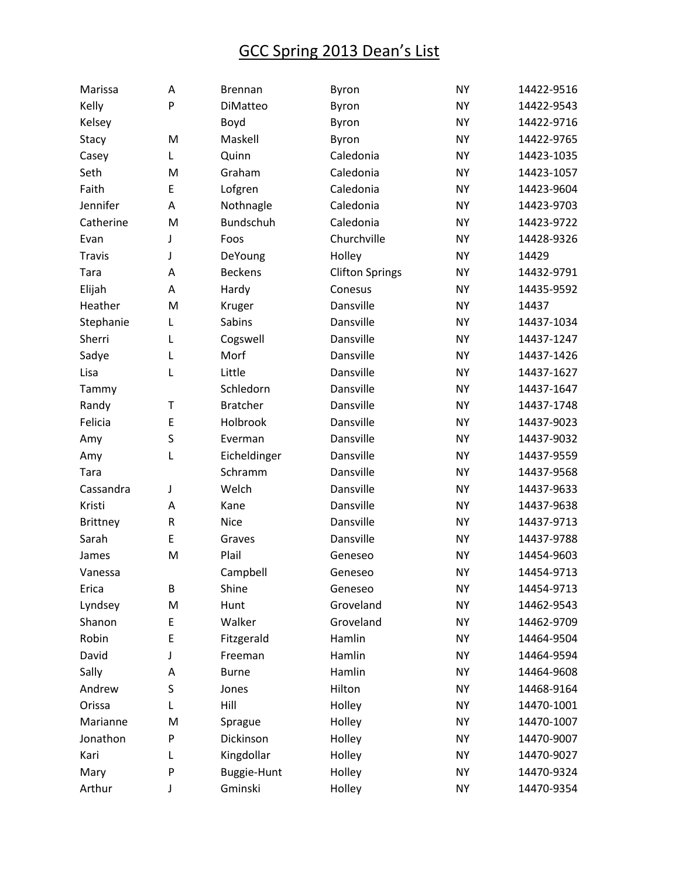| Marissa         | Α         | <b>Brennan</b>  | Byron                  | <b>NY</b> | 14422-9516 |
|-----------------|-----------|-----------------|------------------------|-----------|------------|
| Kelly           | P         | DiMatteo        | Byron                  | <b>NY</b> | 14422-9543 |
| Kelsey          |           | Boyd            | Byron                  | <b>NY</b> | 14422-9716 |
| Stacy           | M         | Maskell         | Byron                  | <b>NY</b> | 14422-9765 |
| Casey           | Г         | Quinn           | Caledonia              | <b>NY</b> | 14423-1035 |
| Seth            | M         | Graham          | Caledonia              | <b>NY</b> | 14423-1057 |
| Faith           | E         | Lofgren         | Caledonia              | <b>NY</b> | 14423-9604 |
| Jennifer        | A         | Nothnagle       | Caledonia              | <b>NY</b> | 14423-9703 |
| Catherine       | M         | Bundschuh       | Caledonia              | <b>NY</b> | 14423-9722 |
| Evan            | J         | Foos            | Churchville            | <b>NY</b> | 14428-9326 |
| <b>Travis</b>   | J         | DeYoung         | Holley                 | <b>NY</b> | 14429      |
| Tara            | Α         | <b>Beckens</b>  | <b>Clifton Springs</b> | <b>NY</b> | 14432-9791 |
| Elijah          | Α         | Hardy           | Conesus                | <b>NY</b> | 14435-9592 |
| Heather         | M         | Kruger          | Dansville              | <b>NY</b> | 14437      |
| Stephanie       | L         | Sabins          | Dansville              | <b>NY</b> | 14437-1034 |
| Sherri          | Г         | Cogswell        | Dansville              | <b>NY</b> | 14437-1247 |
| Sadye           | L         | Morf            | Dansville              | <b>NY</b> | 14437-1426 |
| Lisa            | L         | Little          | Dansville              | <b>NY</b> | 14437-1627 |
| Tammy           |           | Schledorn       | Dansville              | <b>NY</b> | 14437-1647 |
| Randy           | T         | <b>Bratcher</b> | Dansville              | <b>NY</b> | 14437-1748 |
| Felicia         | E         | Holbrook        | Dansville              | <b>NY</b> | 14437-9023 |
| Amy             | S         | Everman         | Dansville              | <b>NY</b> | 14437-9032 |
| Amy             | L         | Eicheldinger    | Dansville              | <b>NY</b> | 14437-9559 |
| Tara            |           | Schramm         | Dansville              | <b>NY</b> | 14437-9568 |
| Cassandra       | J         | Welch           | Dansville              | <b>NY</b> | 14437-9633 |
| Kristi          | Α         | Kane            | Dansville              | <b>NY</b> | 14437-9638 |
| <b>Brittney</b> | ${\sf R}$ | <b>Nice</b>     | Dansville              | <b>NY</b> | 14437-9713 |
| Sarah           | E         | Graves          | Dansville              | <b>NY</b> | 14437-9788 |
| James           | M         | Plail           | Geneseo                | <b>NY</b> | 14454-9603 |
| Vanessa         |           | Campbell        | Geneseo                | <b>NY</b> | 14454-9713 |
| Erica           | B         | Shine           | Geneseo                | <b>NY</b> | 14454-9713 |
| Lyndsey         | M         | Hunt            | Groveland              | <b>NY</b> | 14462-9543 |
| Shanon          | E         | Walker          | Groveland              | <b>NY</b> | 14462-9709 |
| Robin           | E         | Fitzgerald      | Hamlin                 | <b>NY</b> | 14464-9504 |
| David           | J         | Freeman         | Hamlin                 | <b>NY</b> | 14464-9594 |
| Sally           | A         | <b>Burne</b>    | Hamlin                 | <b>NY</b> | 14464-9608 |
| Andrew          | S         | Jones           | Hilton                 | <b>NY</b> | 14468-9164 |
| Orissa          | L         | Hill            | Holley                 | <b>NY</b> | 14470-1001 |
| Marianne        | M         | Sprague         | Holley                 | <b>NY</b> | 14470-1007 |
| Jonathon        | P         | Dickinson       | Holley                 | <b>NY</b> | 14470-9007 |
| Kari            | L         | Kingdollar      | Holley                 | <b>NY</b> | 14470-9027 |
| Mary            | P         | Buggie-Hunt     | Holley                 | <b>NY</b> | 14470-9324 |
| Arthur          | J         | Gminski         | Holley                 | <b>NY</b> | 14470-9354 |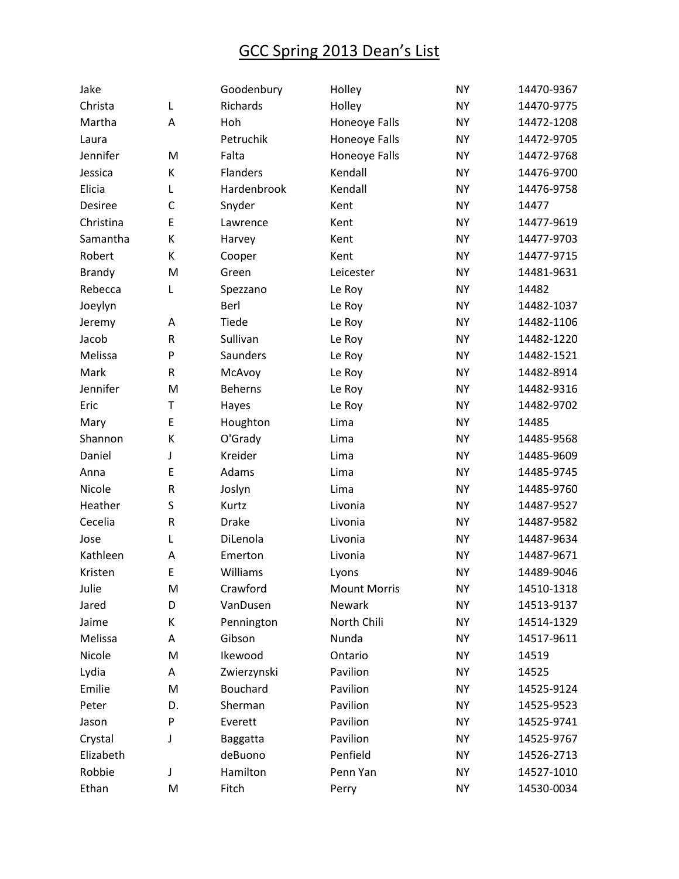| Jake          |              | Goodenbury      | Holley              | <b>NY</b> | 14470-9367 |
|---------------|--------------|-----------------|---------------------|-----------|------------|
| Christa       | L            | Richards        | Holley              | <b>NY</b> | 14470-9775 |
| Martha        | Α            | Hoh             | Honeoye Falls       | <b>NY</b> | 14472-1208 |
| Laura         |              | Petruchik       | Honeoye Falls       | <b>NY</b> | 14472-9705 |
| Jennifer      | M            | Falta           | Honeoye Falls       | <b>NY</b> | 14472-9768 |
| Jessica       | К            | <b>Flanders</b> | Kendall             | <b>NY</b> | 14476-9700 |
| Elicia        | L            | Hardenbrook     | Kendall             | <b>NY</b> | 14476-9758 |
| Desiree       | $\mathsf{C}$ | Snyder          | Kent                | <b>NY</b> | 14477      |
| Christina     | E            | Lawrence        | Kent                | <b>NY</b> | 14477-9619 |
| Samantha      | К            | Harvey          | Kent                | <b>NY</b> | 14477-9703 |
| Robert        | К            | Cooper          | Kent                | <b>NY</b> | 14477-9715 |
| <b>Brandy</b> | M            | Green           | Leicester           | <b>NY</b> | 14481-9631 |
| Rebecca       | L            | Spezzano        | Le Roy              | <b>NY</b> | 14482      |
| Joeylyn       |              | Berl            | Le Roy              | <b>NY</b> | 14482-1037 |
| Jeremy        | Α            | Tiede           | Le Roy              | <b>NY</b> | 14482-1106 |
| Jacob         | ${\sf R}$    | Sullivan        | Le Roy              | <b>NY</b> | 14482-1220 |
| Melissa       | P            | Saunders        | Le Roy              | <b>NY</b> | 14482-1521 |
| Mark          | R            | McAvoy          | Le Roy              | <b>NY</b> | 14482-8914 |
| Jennifer      | M            | <b>Beherns</b>  | Le Roy              | <b>NY</b> | 14482-9316 |
| Eric          | T            | Hayes           | Le Roy              | <b>NY</b> | 14482-9702 |
| Mary          | E            | Houghton        | Lima                | <b>NY</b> | 14485      |
| Shannon       | К            | O'Grady         | Lima                | <b>NY</b> | 14485-9568 |
| Daniel        | J            | Kreider         | Lima                | <b>NY</b> | 14485-9609 |
| Anna          | E            | Adams           | Lima                | <b>NY</b> | 14485-9745 |
| Nicole        | $\mathsf R$  | Joslyn          | Lima                | <b>NY</b> | 14485-9760 |
| Heather       | S            | Kurtz           | Livonia             | <b>NY</b> | 14487-9527 |
| Cecelia       | $\mathsf R$  | <b>Drake</b>    | Livonia             | <b>NY</b> | 14487-9582 |
| Jose          | Г            | DiLenola        | Livonia             | <b>NY</b> | 14487-9634 |
| Kathleen      | A            | Emerton         | Livonia             | <b>NY</b> | 14487-9671 |
| Kristen       | E            | Williams        | Lyons               | <b>NY</b> | 14489-9046 |
| Julie         | M            | Crawford        | <b>Mount Morris</b> | <b>NY</b> | 14510-1318 |
| Jared         | D            | VanDusen        | Newark              | <b>NY</b> | 14513-9137 |
| Jaime         | К            | Pennington      | North Chili         | <b>NY</b> | 14514-1329 |
| Melissa       | А            | Gibson          | Nunda               | <b>NY</b> | 14517-9611 |
| Nicole        | M            | Ikewood         | Ontario             | <b>NY</b> | 14519      |
| Lydia         | А            | Zwierzynski     | Pavilion            | <b>NY</b> | 14525      |
| Emilie        | M            | Bouchard        | Pavilion            | <b>NY</b> | 14525-9124 |
| Peter         | D.           | Sherman         | Pavilion            | <b>NY</b> | 14525-9523 |
| Jason         | P            | Everett         | Pavilion            | <b>NY</b> | 14525-9741 |
| Crystal       | J            | Baggatta        | Pavilion            | <b>NY</b> | 14525-9767 |
| Elizabeth     |              | deBuono         | Penfield            | <b>NY</b> | 14526-2713 |
| Robbie        | J            | Hamilton        | Penn Yan            | <b>NY</b> | 14527-1010 |
| Ethan         | M            | Fitch           | Perry               | <b>NY</b> | 14530-0034 |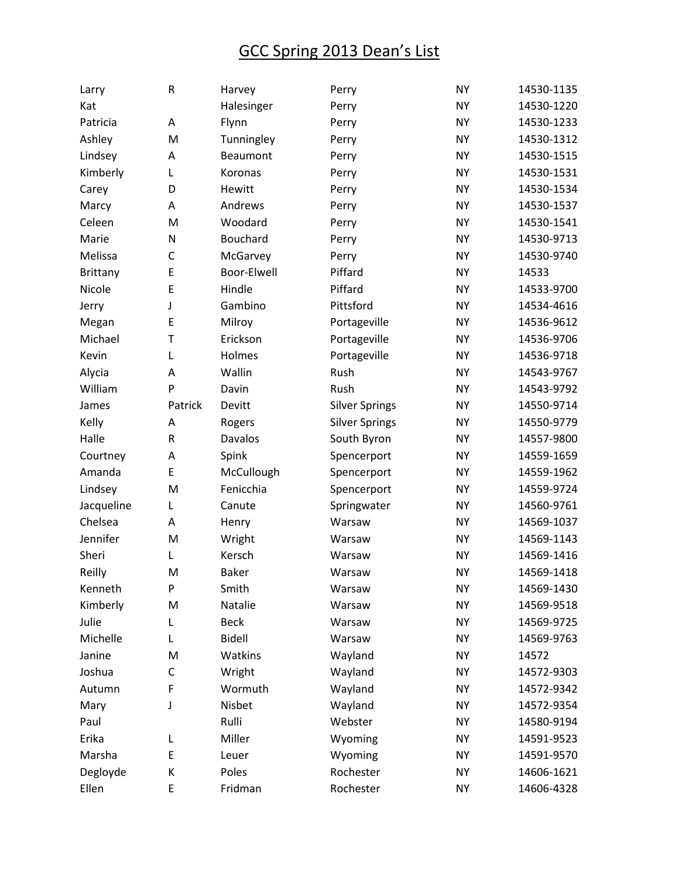| Larry           | R           | Harvey         | Perry                 | <b>NY</b> | 14530-1135 |
|-----------------|-------------|----------------|-----------------------|-----------|------------|
| Kat             |             | Halesinger     | Perry                 | <b>NY</b> | 14530-1220 |
| Patricia        | Α           | Flynn          | Perry                 | <b>NY</b> | 14530-1233 |
| Ashley          | M           | Tunningley     | Perry                 | <b>NY</b> | 14530-1312 |
| Lindsey         | Α           | Beaumont       | Perry                 | <b>NY</b> | 14530-1515 |
| Kimberly        | L           | Koronas        | Perry                 | <b>NY</b> | 14530-1531 |
| Carey           | D           | Hewitt         | Perry                 | <b>NY</b> | 14530-1534 |
| Marcy           | Α           | Andrews        | Perry                 | <b>NY</b> | 14530-1537 |
| Celeen          | M           | Woodard        | Perry                 | <b>NY</b> | 14530-1541 |
| Marie           | N           | Bouchard       | Perry                 | <b>NY</b> | 14530-9713 |
| Melissa         | C           | McGarvey       | Perry                 | <b>NY</b> | 14530-9740 |
| <b>Brittany</b> | E           | Boor-Elwell    | Piffard               | <b>NY</b> | 14533      |
| Nicole          | E           | Hindle         | Piffard               | <b>NY</b> | 14533-9700 |
| Jerry           | J           | Gambino        | Pittsford             | <b>NY</b> | 14534-4616 |
| Megan           | E           | Milroy         | Portageville          | <b>NY</b> | 14536-9612 |
| Michael         | T           | Erickson       | Portageville          | <b>NY</b> | 14536-9706 |
| Kevin           | L           | Holmes         | Portageville          | <b>NY</b> | 14536-9718 |
| Alycia          | А           | Wallin         | Rush                  | <b>NY</b> | 14543-9767 |
| William         | P           | Davin          | Rush                  | <b>NY</b> | 14543-9792 |
| James           | Patrick     | Devitt         | <b>Silver Springs</b> | <b>NY</b> | 14550-9714 |
| Kelly           | Α           | Rogers         | <b>Silver Springs</b> | <b>NY</b> | 14550-9779 |
| Halle           | R           | <b>Davalos</b> | South Byron           | <b>NY</b> | 14557-9800 |
| Courtney        | А           | Spink          | Spencerport           | <b>NY</b> | 14559-1659 |
| Amanda          | E           | McCullough     | Spencerport           | <b>NY</b> | 14559-1962 |
| Lindsey         | M           | Fenicchia      | Spencerport           | <b>NY</b> | 14559-9724 |
| Jacqueline      | Г           | Canute         | Springwater           | <b>NY</b> | 14560-9761 |
| Chelsea         | А           | Henry          | Warsaw                | <b>NY</b> | 14569-1037 |
| Jennifer        | M           | Wright         | Warsaw                | <b>NY</b> | 14569-1143 |
| Sheri           | L           | Kersch         | Warsaw                | <b>NY</b> | 14569-1416 |
| Reilly          | M           | Baker          | Warsaw                | <b>NY</b> | 14569-1418 |
| Kenneth         | P           | Smith          | Warsaw                | <b>NY</b> | 14569-1430 |
| Kimberly        | M           | Natalie        | Warsaw                | <b>NY</b> | 14569-9518 |
| Julie           | L           | <b>Beck</b>    | Warsaw                | <b>NY</b> | 14569-9725 |
| Michelle        | Г           | <b>Bidell</b>  | Warsaw                | <b>NY</b> | 14569-9763 |
| Janine          | M           | Watkins        | Wayland               | <b>NY</b> | 14572      |
| Joshua          | $\mathsf C$ | Wright         | Wayland               | <b>NY</b> | 14572-9303 |
| Autumn          | F           | Wormuth        | Wayland               | <b>NY</b> | 14572-9342 |
| Mary            | J           | Nisbet         | Wayland               | <b>NY</b> | 14572-9354 |
| Paul            |             | Rulli          | Webster               | <b>NY</b> | 14580-9194 |
| Erika           | L           | Miller         | Wyoming               | <b>NY</b> | 14591-9523 |
| Marsha          | E           | Leuer          | Wyoming               | <b>NY</b> | 14591-9570 |
| Degloyde        | К           | Poles          | Rochester             | <b>NY</b> | 14606-1621 |
| Ellen           | E           | Fridman        | Rochester             | <b>NY</b> | 14606-4328 |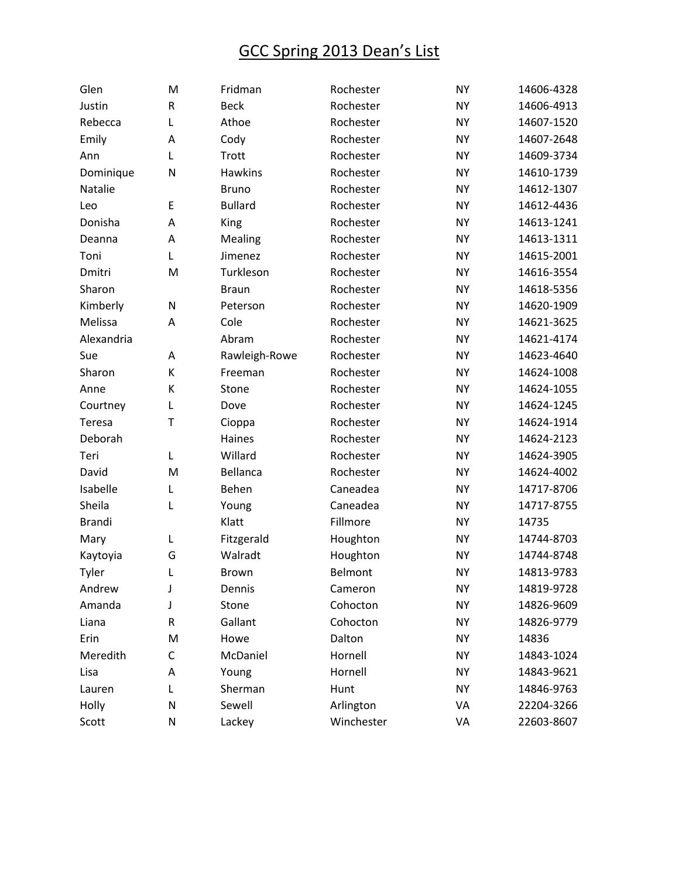| Glen          | M       | Fridman        | Rochester  | <b>NY</b> | 14606-4328 |
|---------------|---------|----------------|------------|-----------|------------|
| Justin        | $\sf R$ | <b>Beck</b>    | Rochester  | <b>NY</b> | 14606-4913 |
| Rebecca       | L       | Athoe          | Rochester  | <b>NY</b> | 14607-1520 |
| Emily         | A       | Cody           | Rochester  | <b>NY</b> | 14607-2648 |
| Ann           | Г       | Trott          | Rochester  | <b>NY</b> | 14609-3734 |
| Dominique     | N       | Hawkins        | Rochester  | <b>NY</b> | 14610-1739 |
| Natalie       |         | <b>Bruno</b>   | Rochester  | <b>NY</b> | 14612-1307 |
| Leo           | E       | <b>Bullard</b> | Rochester  | <b>NY</b> | 14612-4436 |
| Donisha       | А       | King           | Rochester  | <b>NY</b> | 14613-1241 |
| Deanna        | A       | Mealing        | Rochester  | <b>NY</b> | 14613-1311 |
| Toni          | Г       | Jimenez        | Rochester  | <b>NY</b> | 14615-2001 |
| Dmitri        | M       | Turkleson      | Rochester  | <b>NY</b> | 14616-3554 |
| Sharon        |         | <b>Braun</b>   | Rochester  | <b>NY</b> | 14618-5356 |
| Kimberly      | N       | Peterson       | Rochester  | <b>NY</b> | 14620-1909 |
| Melissa       | Α       | Cole           | Rochester  | <b>NY</b> | 14621-3625 |
| Alexandria    |         | Abram          | Rochester  | <b>NY</b> | 14621-4174 |
| Sue           | Α       | Rawleigh-Rowe  | Rochester  | <b>NY</b> | 14623-4640 |
| Sharon        | К       | Freeman        | Rochester  | <b>NY</b> | 14624-1008 |
| Anne          | К       | Stone          | Rochester  | <b>NY</b> | 14624-1055 |
| Courtney      | L       | Dove           | Rochester  | <b>NY</b> | 14624-1245 |
| Teresa        | T       | Cioppa         | Rochester  | <b>NY</b> | 14624-1914 |
| Deborah       |         | Haines         | Rochester  | <b>NY</b> | 14624-2123 |
| Teri          | Г       | Willard        | Rochester  | <b>NY</b> | 14624-3905 |
| David         | M       | Bellanca       | Rochester  | <b>NY</b> | 14624-4002 |
| Isabelle      | L       | Behen          | Caneadea   | <b>NY</b> | 14717-8706 |
| Sheila        | L       | Young          | Caneadea   | <b>NY</b> | 14717-8755 |
| <b>Brandi</b> |         | Klatt          | Fillmore   | <b>NY</b> | 14735      |
| Mary          | Г       | Fitzgerald     | Houghton   | <b>NY</b> | 14744-8703 |
| Kaytoyia      | G       | Walradt        | Houghton   | <b>NY</b> | 14744-8748 |
| Tyler         | Г       | Brown          | Belmont    | <b>NY</b> | 14813-9783 |
| Andrew        | J       | Dennis         | Cameron    | <b>NY</b> | 14819-9728 |
| Amanda        | J       | Stone          | Cohocton   | <b>NY</b> | 14826-9609 |
| Liana         | R       | Gallant        | Cohocton   | <b>NY</b> | 14826-9779 |
| Erin          | M       | Howe           | Dalton     | <b>NY</b> | 14836      |
| Meredith      | C       | McDaniel       | Hornell    | <b>NY</b> | 14843-1024 |
| Lisa          | А       | Young          | Hornell    | <b>NY</b> | 14843-9621 |
| Lauren        | L       | Sherman        | Hunt       | <b>NY</b> | 14846-9763 |
| Holly         | N       | Sewell         | Arlington  | VA        | 22204-3266 |
| Scott         | N       | Lackey         | Winchester | VA        | 22603-8607 |